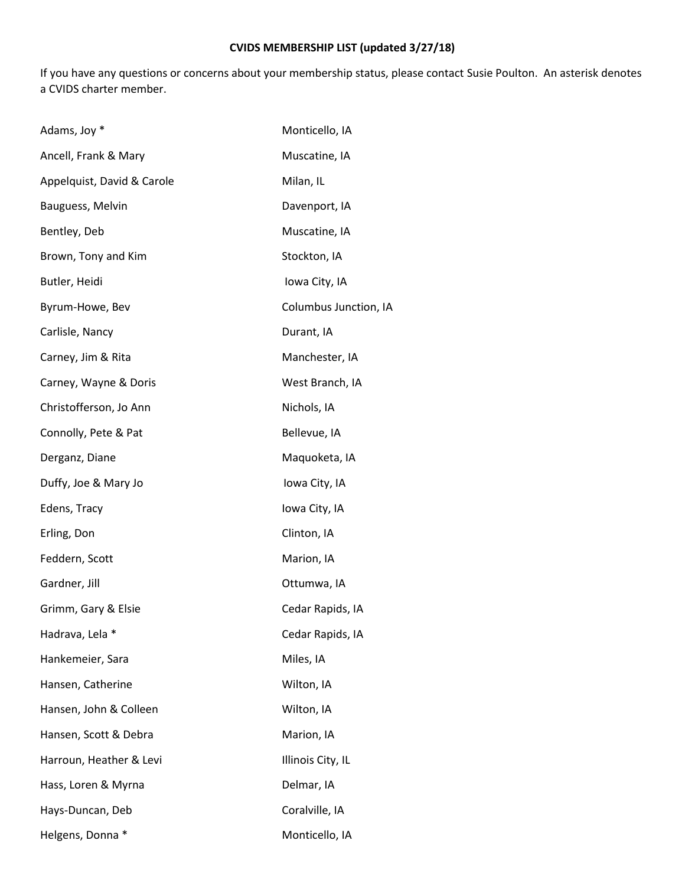## **CVIDS MEMBERSHIP LIST (updated 3/27/18)**

If you have any questions or concerns about your membership status, please contact Susie Poulton. An asterisk denotes a CVIDS charter member.

| Adams, Joy *               | Monticello, IA        |
|----------------------------|-----------------------|
| Ancell, Frank & Mary       | Muscatine, IA         |
| Appelquist, David & Carole | Milan, IL             |
| Bauguess, Melvin           | Davenport, IA         |
| Bentley, Deb               | Muscatine, IA         |
| Brown, Tony and Kim        | Stockton, IA          |
| Butler, Heidi              | Iowa City, IA         |
| Byrum-Howe, Bev            | Columbus Junction, IA |
| Carlisle, Nancy            | Durant, IA            |
| Carney, Jim & Rita         | Manchester, IA        |
| Carney, Wayne & Doris      | West Branch, IA       |
| Christofferson, Jo Ann     | Nichols, IA           |
| Connolly, Pete & Pat       | Bellevue, IA          |
| Derganz, Diane             | Maquoketa, IA         |
| Duffy, Joe & Mary Jo       | Iowa City, IA         |
| Edens, Tracy               | Iowa City, IA         |
| Erling, Don                | Clinton, IA           |
| Feddern, Scott             | Marion, IA            |
| Gardner, Jill              | Ottumwa, IA           |
| Grimm, Gary & Elsie        | Cedar Rapids, IA      |
| Hadrava, Lela *            | Cedar Rapids, IA      |
| Hankemeier, Sara           | Miles, IA             |
| Hansen, Catherine          | Wilton, IA            |
| Hansen, John & Colleen     | Wilton, IA            |
| Hansen, Scott & Debra      | Marion, IA            |
| Harroun, Heather & Levi    | Illinois City, IL     |
| Hass, Loren & Myrna        | Delmar, IA            |
| Hays-Duncan, Deb           | Coralville, IA        |
| Helgens, Donna *           | Monticello, IA        |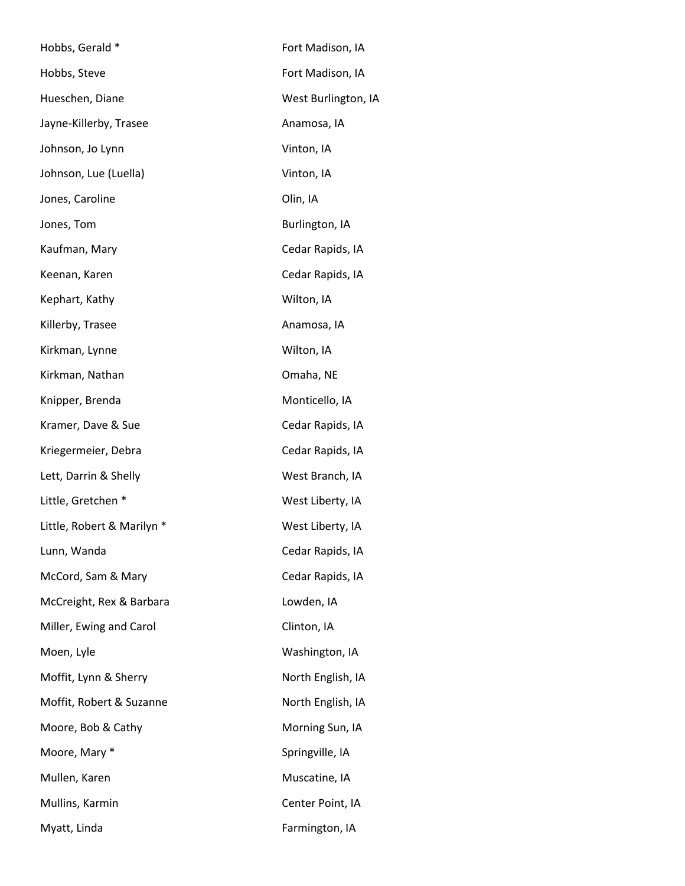| Hobbs, Gerald *            | Fort Madison, IA    |
|----------------------------|---------------------|
| Hobbs, Steve               | Fort Madison, IA    |
| Hueschen, Diane            | West Burlington, IA |
| Jayne-Killerby, Trasee     | Anamosa, IA         |
| Johnson, Jo Lynn           | Vinton, IA          |
| Johnson, Lue (Luella)      | Vinton, IA          |
| Jones, Caroline            | Olin, IA            |
| Jones, Tom                 | Burlington, IA      |
| Kaufman, Mary              | Cedar Rapids, IA    |
| Keenan, Karen              | Cedar Rapids, IA    |
| Kephart, Kathy             | Wilton, IA          |
| Killerby, Trasee           | Anamosa, IA         |
| Kirkman, Lynne             | Wilton, IA          |
| Kirkman, Nathan            | Omaha, NE           |
| Knipper, Brenda            | Monticello, IA      |
| Kramer, Dave & Sue         | Cedar Rapids, IA    |
| Kriegermeier, Debra        | Cedar Rapids, IA    |
| Lett, Darrin & Shelly      | West Branch, IA     |
| Little, Gretchen *         | West Liberty, IA    |
| Little, Robert & Marilyn * | West Liberty, IA    |
| Lunn, Wanda                | Cedar Rapids, IA    |
| McCord, Sam & Mary         | Cedar Rapids, IA    |
| McCreight, Rex & Barbara   | Lowden, IA          |
| Miller, Ewing and Carol    | Clinton, IA         |
| Moen, Lyle                 | Washington, IA      |
| Moffit, Lynn & Sherry      | North English, IA   |
| Moffit, Robert & Suzanne   | North English, IA   |
| Moore, Bob & Cathy         | Morning Sun, IA     |
| Moore, Mary *              | Springville, IA     |
| Mullen, Karen              | Muscatine, IA       |
| Mullins, Karmin            | Center Point, IA    |
| Myatt, Linda               | Farmington, IA      |